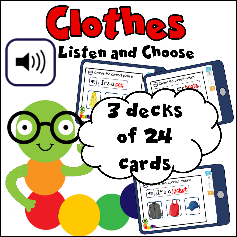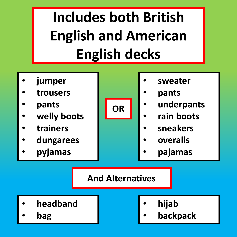## **Includes both British English and American English decks**

- **jumper**
- **trousers**
- **pants**
- **welly boots**
- **trainers**
- **dungarees**
- **pyjamas**



- **sweater**
- **pants**
- **underpants**
- **rain boots**
- **sneakers**
- **overalls**
- **pajamas**

## **And Alternatives**

- **headband**
- **bag**
- **hijab**
- **backpack**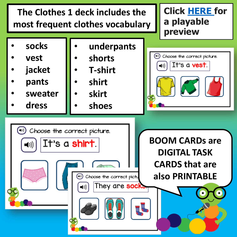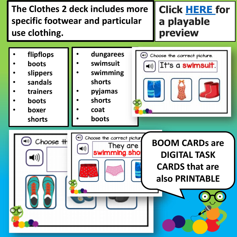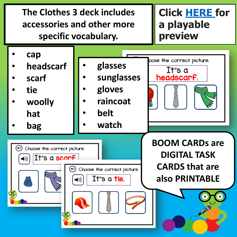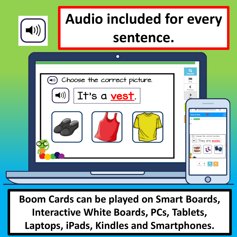

## **Audio included for every sentence.**



**Boom Cards can be played on Smart Boards, Interactive White Boards, PCs, Tablets, Laptops, iPads, Kindles and Smartphones.**